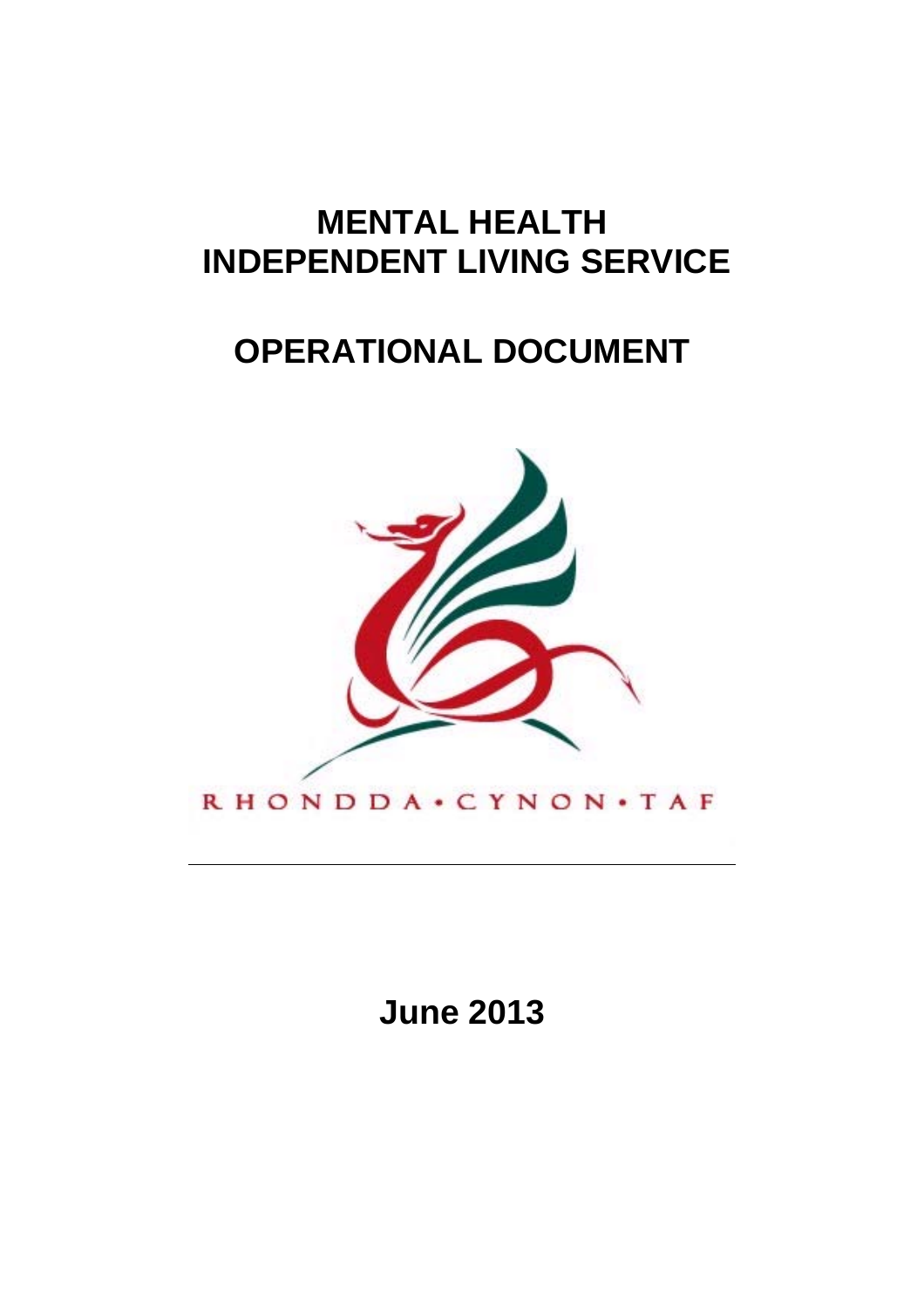# **MENTAL HEALTH INDEPENDENT LIVING SERVICE**

# **OPERATIONAL DOCUMENT**



**June 2013**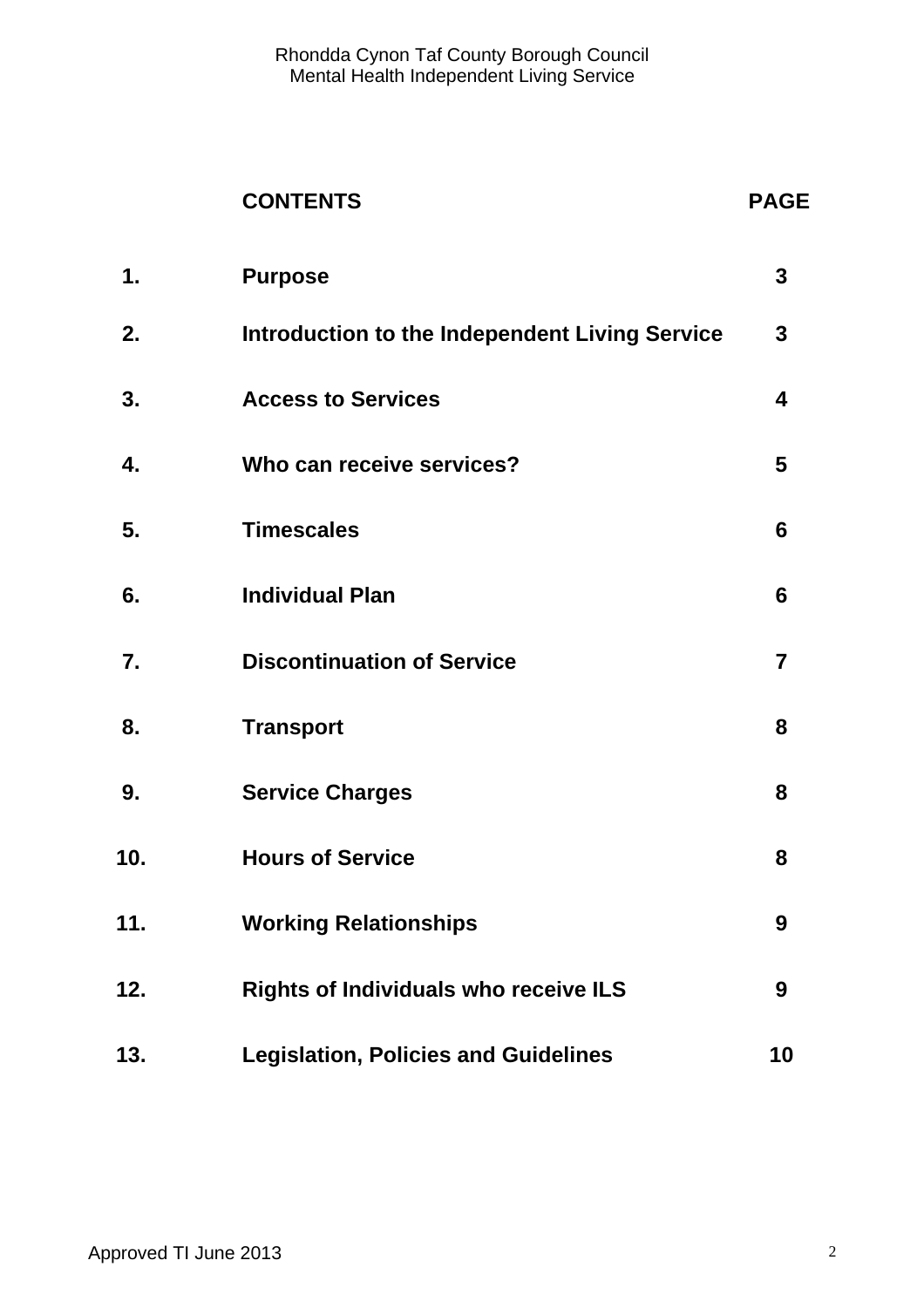## **CONTENTS PAGE**

| 1.  | <b>Purpose</b>                                 | $\mathbf{3}$            |
|-----|------------------------------------------------|-------------------------|
| 2.  | Introduction to the Independent Living Service | $\mathbf{3}$            |
| 3.  | <b>Access to Services</b>                      | $\overline{\mathbf{4}}$ |
| 4.  | Who can receive services?                      | 5                       |
| 5.  | <b>Timescales</b>                              | 6                       |
| 6.  | <b>Individual Plan</b>                         | $6\phantom{1}$          |
| 7.  | <b>Discontinuation of Service</b>              | $\overline{7}$          |
| 8.  | <b>Transport</b>                               | 8                       |
| 9.  | <b>Service Charges</b>                         | 8                       |
| 10. | <b>Hours of Service</b>                        | 8                       |
| 11. | <b>Working Relationships</b>                   | 9                       |
| 12. | <b>Rights of Individuals who receive ILS</b>   | 9                       |
| 13. | <b>Legislation, Policies and Guidelines</b>    | 10                      |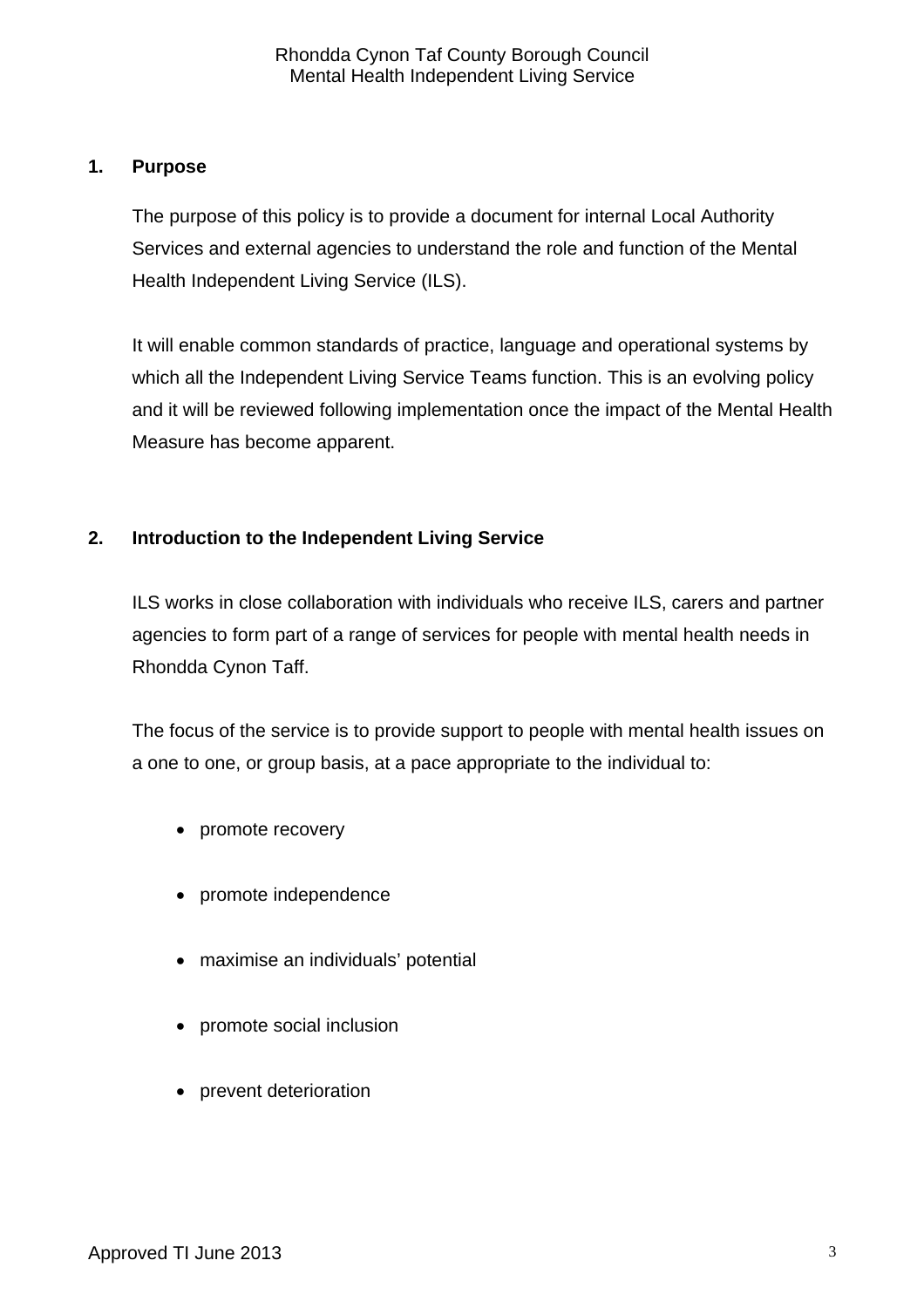#### **1. Purpose**

 The purpose of this policy is to provide a document for internal Local Authority Services and external agencies to understand the role and function of the Mental Health Independent Living Service (ILS).

 It will enable common standards of practice, language and operational systems by which all the Independent Living Service Teams function. This is an evolving policy and it will be reviewed following implementation once the impact of the Mental Health Measure has become apparent.

### **2. Introduction to the Independent Living Service**

 ILS works in close collaboration with individuals who receive ILS, carers and partner agencies to form part of a range of services for people with mental health needs in Rhondda Cynon Taff.

 The focus of the service is to provide support to people with mental health issues on a one to one, or group basis, at a pace appropriate to the individual to:

- promote recovery
- promote independence
- maximise an individuals' potential
- promote social inclusion
- prevent deterioration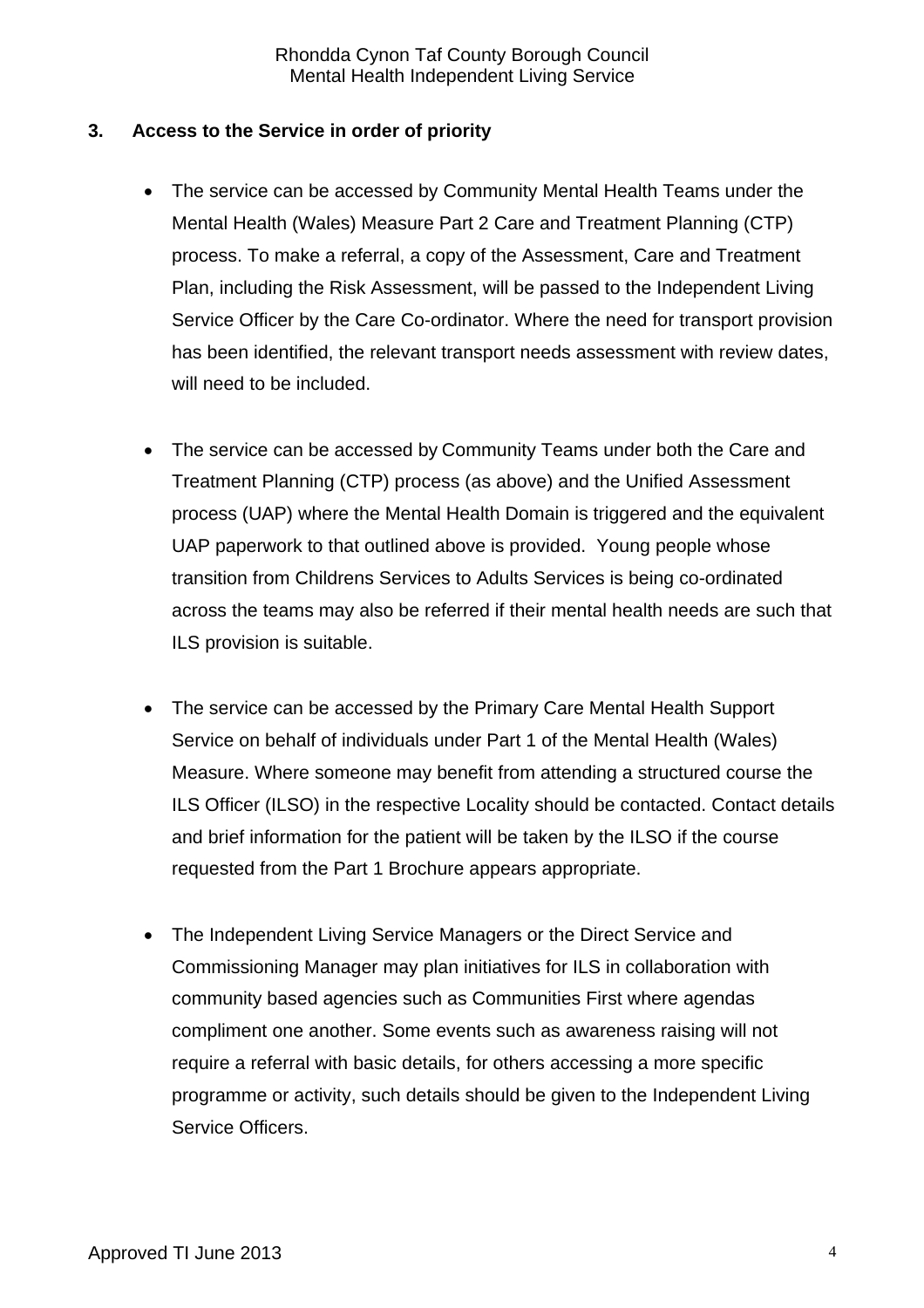#### **3. Access to the Service in order of priority**

- The service can be accessed by Community Mental Health Teams under the Mental Health (Wales) Measure Part 2 Care and Treatment Planning (CTP) process. To make a referral, a copy of the Assessment, Care and Treatment Plan, including the Risk Assessment, will be passed to the Independent Living Service Officer by the Care Co-ordinator. Where the need for transport provision has been identified, the relevant transport needs assessment with review dates, will need to be included.
- The service can be accessed by Community Teams under both the Care and Treatment Planning (CTP) process (as above) and the Unified Assessment process (UAP) where the Mental Health Domain is triggered and the equivalent UAP paperwork to that outlined above is provided. Young people whose transition from Childrens Services to Adults Services is being co-ordinated across the teams may also be referred if their mental health needs are such that ILS provision is suitable.
- The service can be accessed by the Primary Care Mental Health Support Service on behalf of individuals under Part 1 of the Mental Health (Wales) Measure. Where someone may benefit from attending a structured course the ILS Officer (ILSO) in the respective Locality should be contacted. Contact details and brief information for the patient will be taken by the ILSO if the course requested from the Part 1 Brochure appears appropriate.
- The Independent Living Service Managers or the Direct Service and Commissioning Manager may plan initiatives for ILS in collaboration with community based agencies such as Communities First where agendas compliment one another. Some events such as awareness raising will not require a referral with basic details, for others accessing a more specific programme or activity, such details should be given to the Independent Living Service Officers.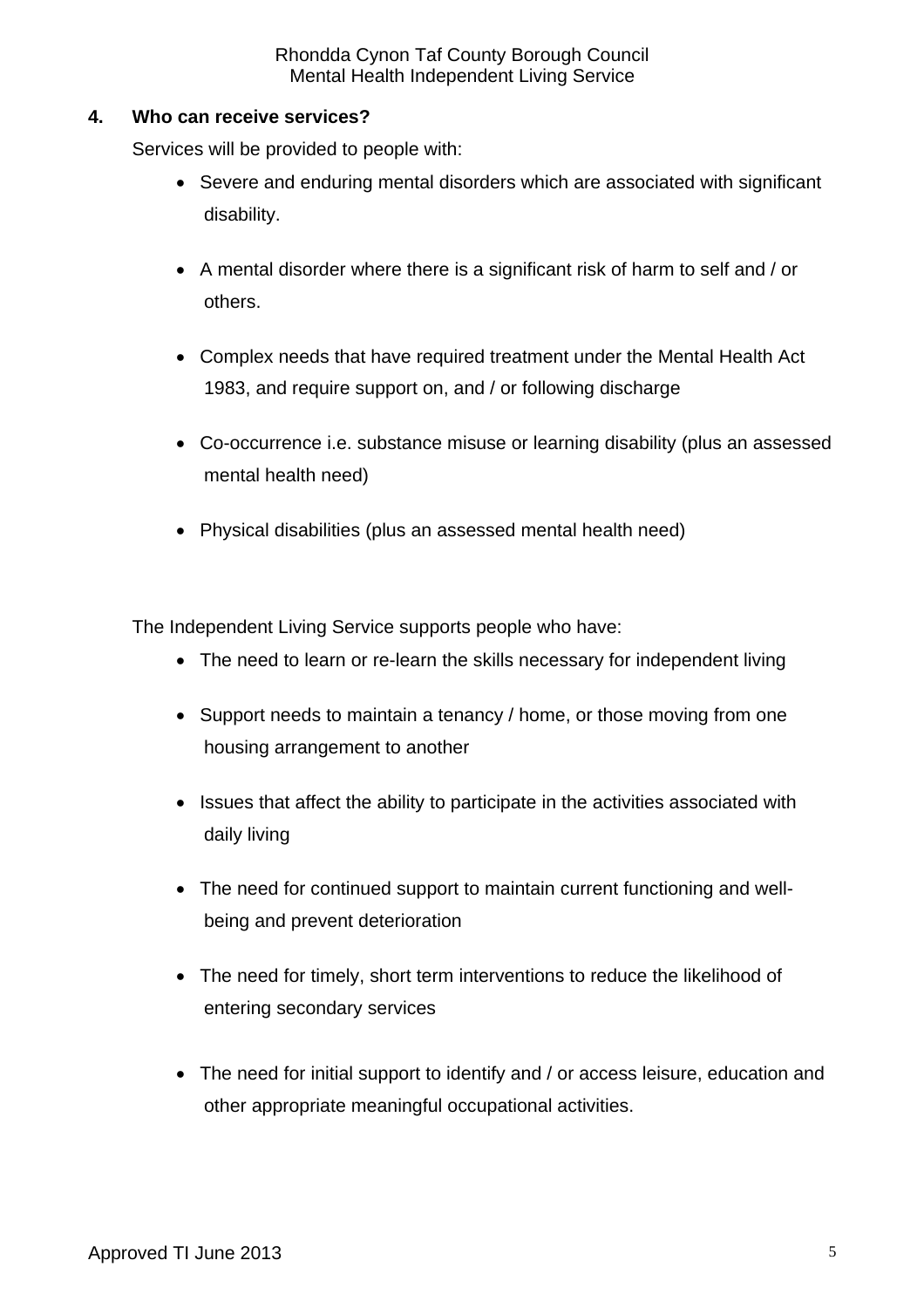#### **4. Who can receive services?**

Services will be provided to people with:

- Severe and enduring mental disorders which are associated with significant disability.
- A mental disorder where there is a significant risk of harm to self and / or others.
- Complex needs that have required treatment under the Mental Health Act 1983, and require support on, and / or following discharge
- Co-occurrence i.e. substance misuse or learning disability (plus an assessed mental health need)
- Physical disabilities (plus an assessed mental health need)

The Independent Living Service supports people who have:

- The need to learn or re-learn the skills necessary for independent living
- Support needs to maintain a tenancy / home, or those moving from one housing arrangement to another
- Issues that affect the ability to participate in the activities associated with daily living
- The need for continued support to maintain current functioning and wellbeing and prevent deterioration
- The need for timely, short term interventions to reduce the likelihood of entering secondary services
- The need for initial support to identify and / or access leisure, education and other appropriate meaningful occupational activities.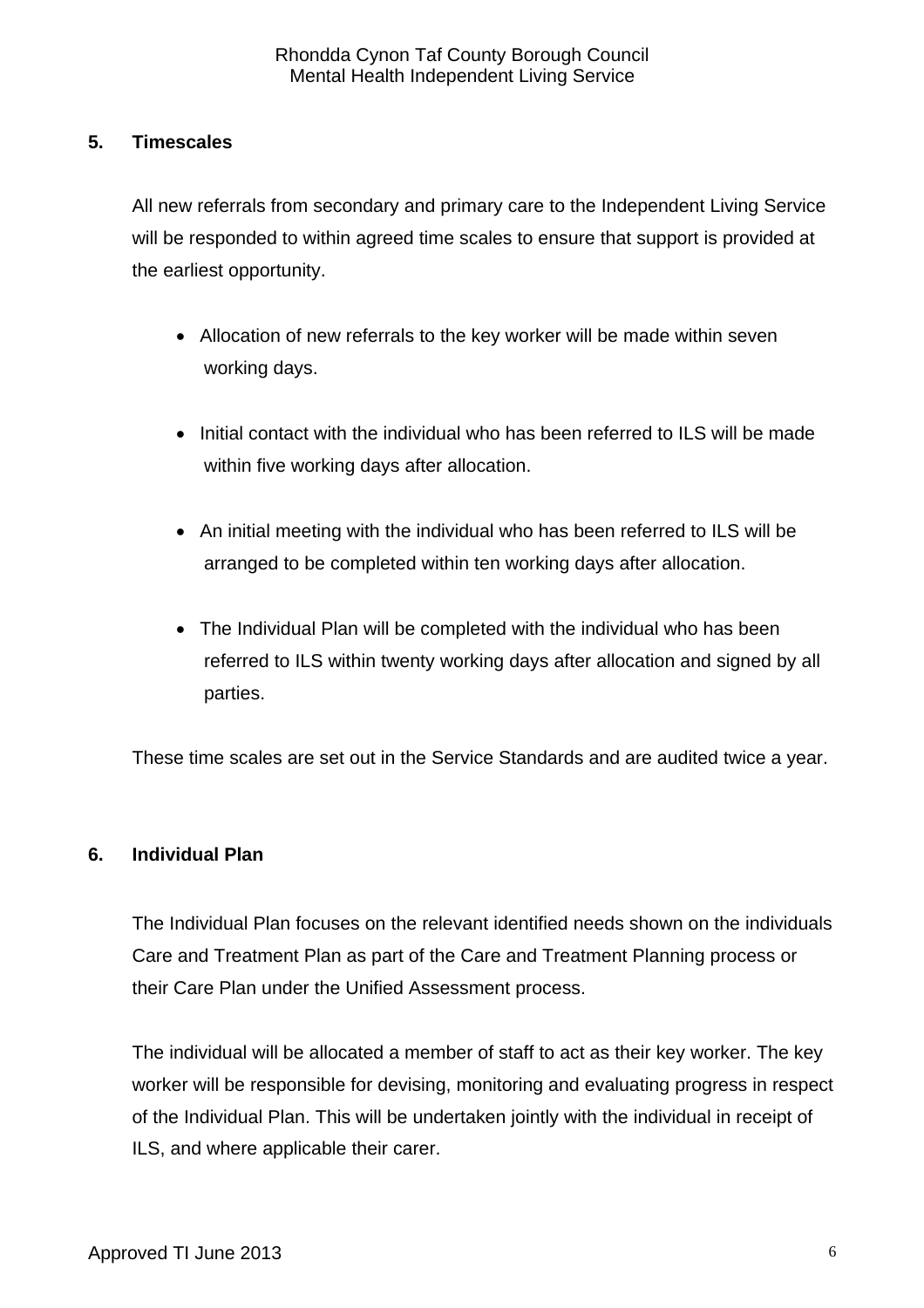#### **5. Timescales**

 All new referrals from secondary and primary care to the Independent Living Service will be responded to within agreed time scales to ensure that support is provided at the earliest opportunity.

- Allocation of new referrals to the key worker will be made within seven working days.
- Initial contact with the individual who has been referred to ILS will be made within five working days after allocation.
- An initial meeting with the individual who has been referred to ILS will be arranged to be completed within ten working days after allocation.
- The Individual Plan will be completed with the individual who has been referred to ILS within twenty working days after allocation and signed by all parties.

These time scales are set out in the Service Standards and are audited twice a year.

#### **6. Individual Plan**

 The Individual Plan focuses on the relevant identified needs shown on the individuals Care and Treatment Plan as part of the Care and Treatment Planning process or their Care Plan under the Unified Assessment process.

 The individual will be allocated a member of staff to act as their key worker. The key worker will be responsible for devising, monitoring and evaluating progress in respect of the Individual Plan. This will be undertaken jointly with the individual in receipt of ILS, and where applicable their carer.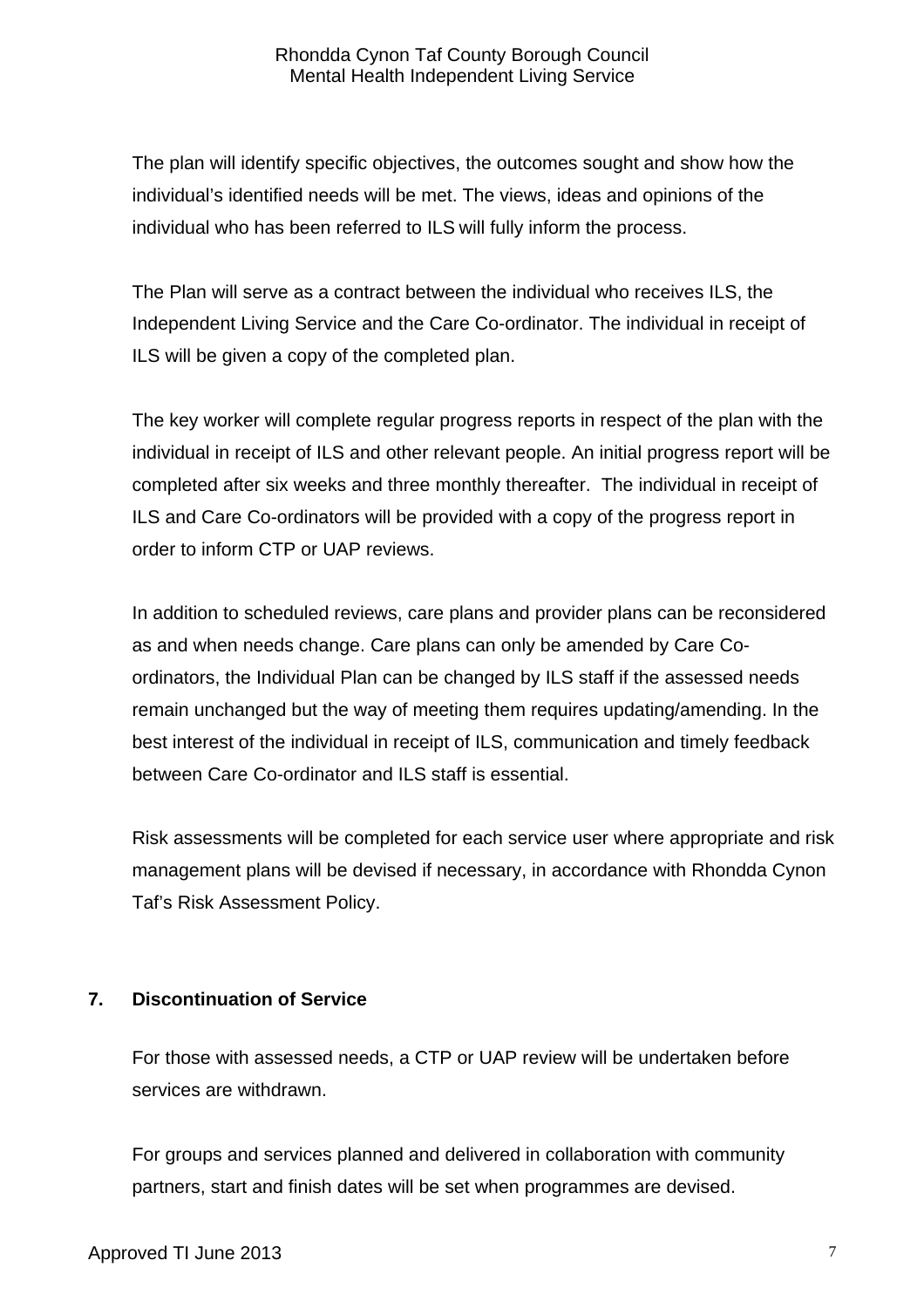The plan will identify specific objectives, the outcomes sought and show how the individual's identified needs will be met. The views, ideas and opinions of the individual who has been referred to ILS will fully inform the process.

 The Plan will serve as a contract between the individual who receives ILS, the Independent Living Service and the Care Co-ordinator. The individual in receipt of ILS will be given a copy of the completed plan.

 The key worker will complete regular progress reports in respect of the plan with the individual in receipt of ILS and other relevant people. An initial progress report will be completed after six weeks and three monthly thereafter. The individual in receipt of ILS and Care Co-ordinators will be provided with a copy of the progress report in order to inform CTP or UAP reviews.

 In addition to scheduled reviews, care plans and provider plans can be reconsidered as and when needs change. Care plans can only be amended by Care Coordinators, the Individual Plan can be changed by ILS staff if the assessed needs remain unchanged but the way of meeting them requires updating/amending. In the best interest of the individual in receipt of ILS, communication and timely feedback between Care Co-ordinator and ILS staff is essential.

 Risk assessments will be completed for each service user where appropriate and risk management plans will be devised if necessary, in accordance with Rhondda Cynon Taf's Risk Assessment Policy.

### **7. Discontinuation of Service**

 For those with assessed needs, a CTP or UAP review will be undertaken before services are withdrawn.

 For groups and services planned and delivered in collaboration with community partners, start and finish dates will be set when programmes are devised.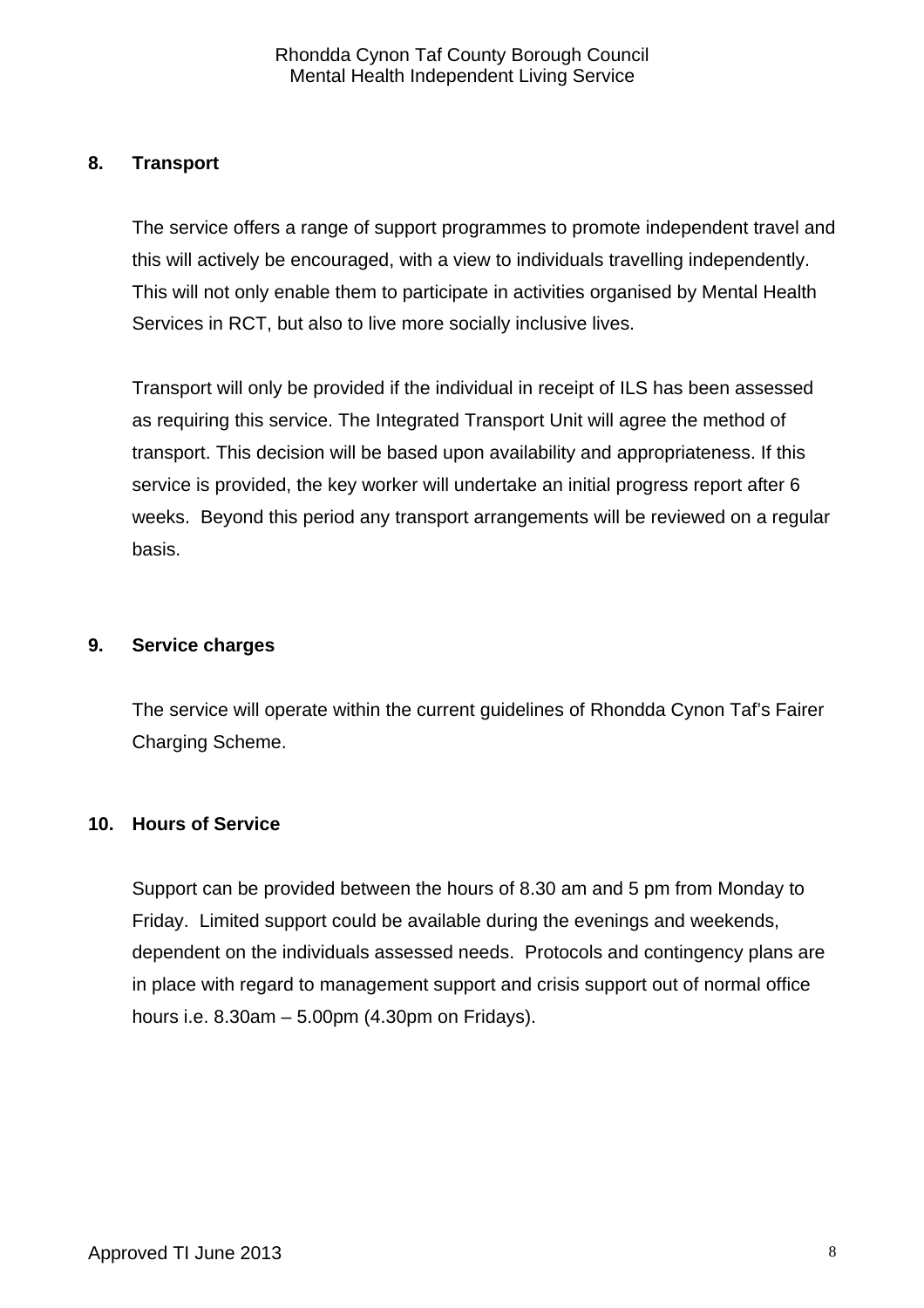#### **8. Transport**

 The service offers a range of support programmes to promote independent travel and this will actively be encouraged, with a view to individuals travelling independently. This will not only enable them to participate in activities organised by Mental Health Services in RCT, but also to live more socially inclusive lives.

 Transport will only be provided if the individual in receipt of ILS has been assessed as requiring this service. The Integrated Transport Unit will agree the method of transport. This decision will be based upon availability and appropriateness. If this service is provided, the key worker will undertake an initial progress report after 6 weeks. Beyond this period any transport arrangements will be reviewed on a regular basis.

#### **9. Service charges**

 The service will operate within the current guidelines of Rhondda Cynon Taf's Fairer Charging Scheme.

#### **10. Hours of Service**

 Support can be provided between the hours of 8.30 am and 5 pm from Monday to Friday. Limited support could be available during the evenings and weekends, dependent on the individuals assessed needs. Protocols and contingency plans are in place with regard to management support and crisis support out of normal office hours i.e. 8.30am – 5.00pm (4.30pm on Fridays).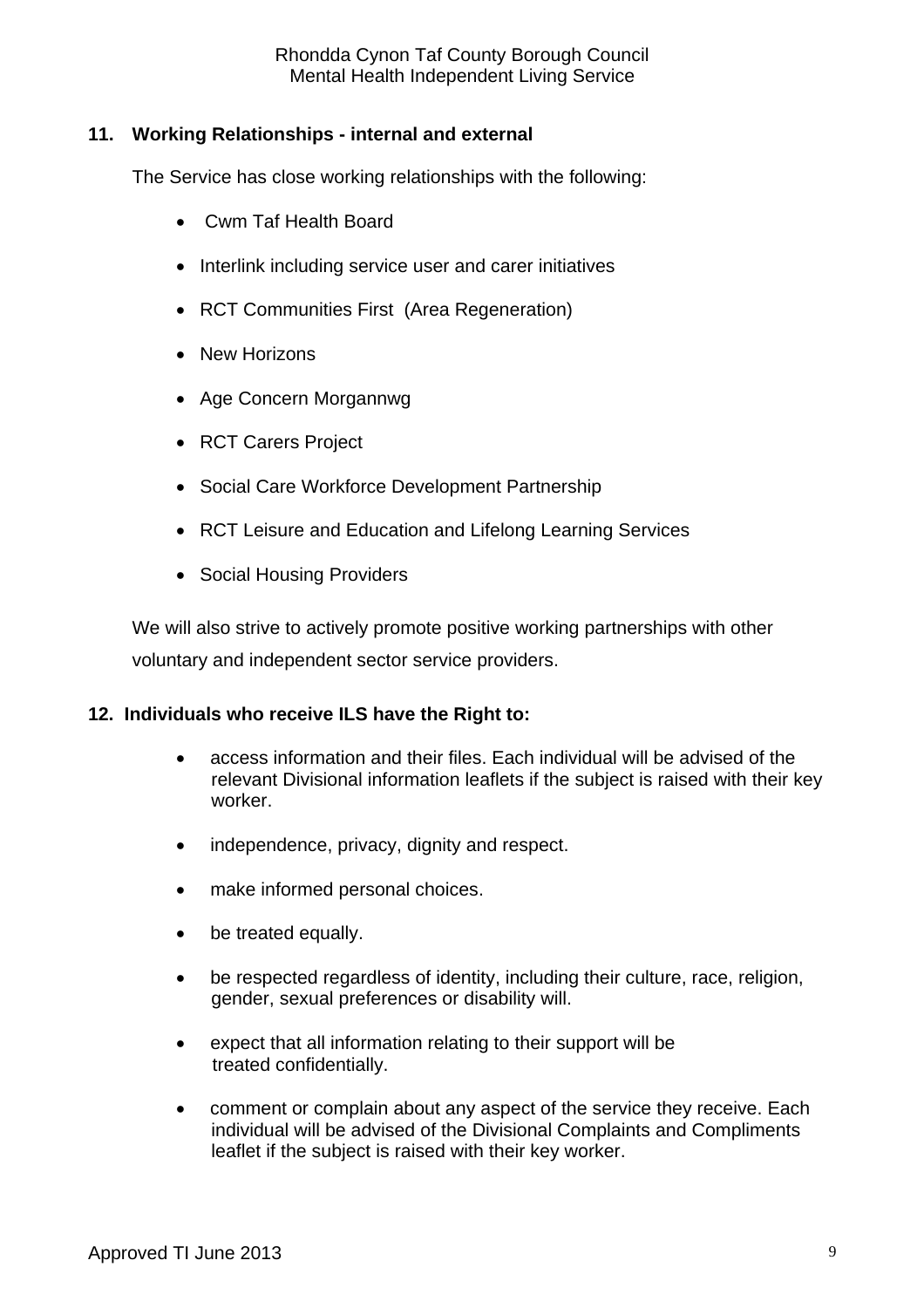Rhondda Cynon Taf County Borough Council Mental Health Independent Living Service

#### **11. Working Relationships - internal and external**

The Service has close working relationships with the following:

- Cwm Taf Health Board
- Interlink including service user and carer initiatives
- RCT Communities First (Area Regeneration)
- New Horizons
- Age Concern Morgannwg
- RCT Carers Project
- Social Care Workforce Development Partnership
- RCT Leisure and Education and Lifelong Learning Services
- Social Housing Providers

 We will also strive to actively promote positive working partnerships with other voluntary and independent sector service providers.

#### **12. Individuals who receive ILS have the Right to:**

- access information and their files. Each individual will be advised of the relevant Divisional information leaflets if the subject is raised with their key worker.
- independence, privacy, dignity and respect.
- make informed personal choices.
- be treated equally.
- be respected regardless of identity, including their culture, race, religion, gender, sexual preferences or disability will.
- expect that all information relating to their support will be treated confidentially.
- comment or complain about any aspect of the service they receive. Each individual will be advised of the Divisional Complaints and Compliments leaflet if the subject is raised with their key worker.